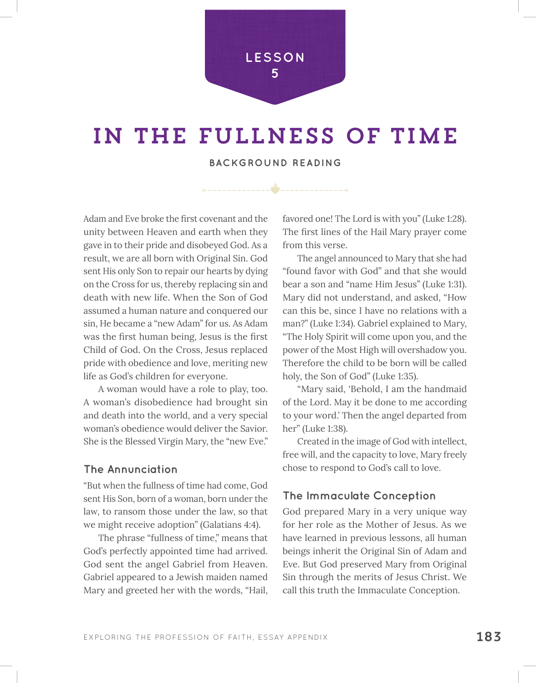**LESSON 5**

## in the fullness of time

**BACKGROUND READING**

Adam and Eve broke the frst covenant and the unity between Heaven and earth when they gave in to their pride and disobeyed God. As a result, we are all born with Original Sin. God sent His only Son to repair our hearts by dying on the Cross for us, thereby replacing sin and death with new life. When the Son of God assumed a human nature and conquered our sin, He became a "new Adam" for us. As Adam was the frst human being, Jesus is the frst Child of God. On the Cross, Jesus replaced pride with obedience and love, meriting new life as God's children for everyone.

A woman would have a role to play, too. A woman's disobedience had brought sin and death into the world, and a very special woman's obedience would deliver the Savior. She is the Blessed Virgin Mary, the "new Eve."

## **The Annunciation**

"But when the fullness of time had come, God sent His Son, born of a woman, born under the law, to ransom those under the law, so that we might receive adoption" (Galatians 4:4).

The phrase "fullness of time," means that God's perfectly appointed time had arrived. God sent the angel Gabriel from Heaven. Gabriel appeared to a Jewish maiden named Mary and greeted her with the words, "Hail, favored one! The Lord is with you" (Luke 1:28). The frst lines of the Hail Mary prayer come from this verse.

The angel announced to Mary that she had "found favor with God" and that she would bear a son and "name Him Jesus" (Luke 1:31). Mary did not understand, and asked, "How can this be, since I have no relations with a man?" (Luke 1:34). Gabriel explained to Mary, "The Holy Spirit will come upon you, and the power of the Most High will overshadow you. Therefore the child to be born will be called holy, the Son of God" (Luke 1:35).

"Mary said, 'Behold, I am the handmaid of the Lord. May it be done to me according to your word.' Then the angel departed from her" (Luke 1:38).

Created in the image of God with intellect, free will, and the capacity to love, Mary freely chose to respond to God's call to love.

## **The Immaculate Conception**

God prepared Mary in a very unique way for her role as the Mother of Jesus. As we have learned in previous lessons, all human beings inherit the Original Sin of Adam and Eve. But God preserved Mary from Original Sin through the merits of Jesus Christ. We call this truth the Immaculate Conception.